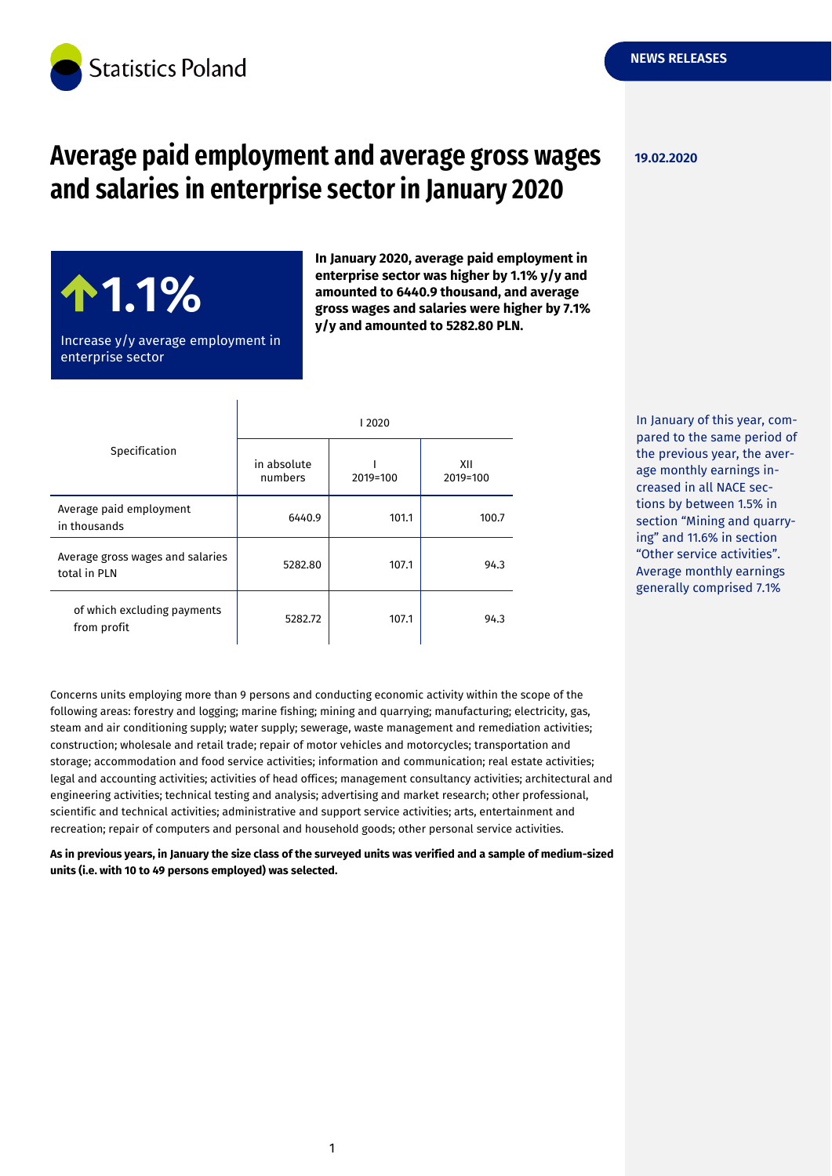

# **Average paid employment and average gross wages and salaries in enterprise sector in January 2020**

**19.02.2020**

**1.1%**

Increase y/y average employment in enterprise sector

**In January 2020, average paid employment in enterprise sector was higher by 1.1% y/y and amounted to 6440.9 thousand, and average gross wages and salaries were higher by 7.1% y/y and amounted to 5282.80 PLN.**

| Specification                                    | 2020                   |          |                 |
|--------------------------------------------------|------------------------|----------|-----------------|
|                                                  | in absolute<br>numbers | 2019=100 | XII<br>2019=100 |
| Average paid employment<br>in thousands          | 6440.9                 | 101.1    | 100.7           |
| Average gross wages and salaries<br>total in PLN | 5282.80                | 107.1    | 94.3            |
| of which excluding payments<br>from profit       | 5282.72                | 107.1    | 94.3            |

 $\overline{\phantom{a}}$ 

In January of this year, compared to the same period of the previous year, the average monthly earnings increased in all NACE sections by between 1.5% in section "Mining and quarrying" and 11.6% in section "Other service activities". Average monthly earnings generally comprised 7.1%

Concerns units employing more than 9 persons and conducting economic activity within the scope of the following areas: forestry and logging; marine fishing; mining and quarrying; manufacturing; electricity, gas, steam and air conditioning supply; water supply; sewerage, waste management and remediation activities; construction; wholesale and retail trade; repair of motor vehicles and motorcycles; transportation and storage; accommodation and food service activities; information and communication; real estate activities; legal and accounting activities; activities of head offices; management consultancy activities; architectural and engineering activities; technical testing and analysis; advertising and market research; other professional, scientific and technical activities; administrative and support service activities; arts, entertainment and recreation; repair of computers and personal and household goods; other personal service activities.

**As in previous years, in January the size class of the surveyed units was verified and a sample of medium-sized units (i.e. with 10 to 49 persons employed) was selected.**